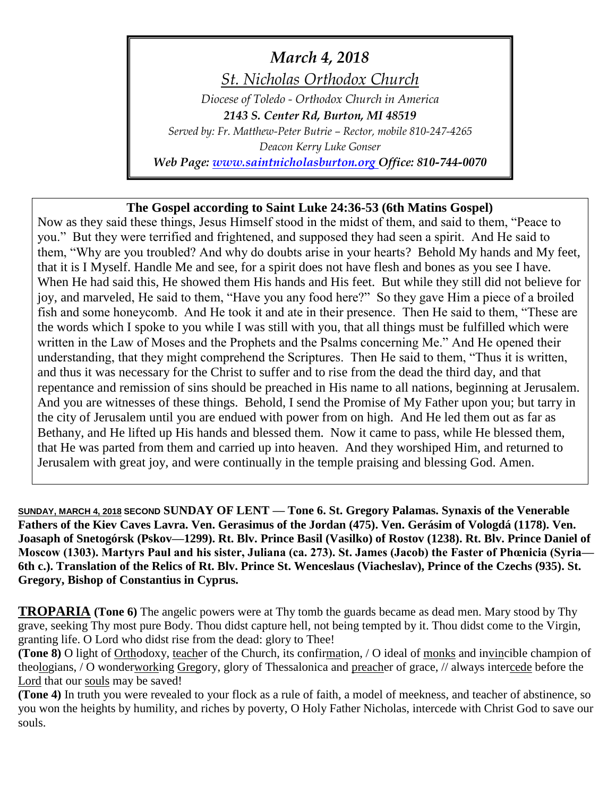# *March 4, 2018*

*St. Nicholas Orthodox Church*

*Diocese of Toledo - Orthodox Church in America 2143 S. Center Rd, Burton, MI 48519 Served by: Fr. Matthew-Peter Butrie – Rector, mobile 810-247-4265 Deacon Kerry Luke Gonser*

*Web Page: [www.saintnicholasburton.org](http://www.saintnicholasburton.org/) Office: 810-744-0070*

## **The Gospel according to Saint Luke 24:36-53 (6th Matins Gospel)**

Now as they said these things, Jesus Himself stood in the midst of them, and said to them, "Peace to you." But they were terrified and frightened, and supposed they had seen a spirit. And He said to them, "Why are you troubled? And why do doubts arise in your hearts? Behold My hands and My feet, that it is I Myself. Handle Me and see, for a spirit does not have flesh and bones as you see I have. When He had said this, He showed them His hands and His feet. But while they still did not believe for joy, and marveled, He said to them, "Have you any food here?" So they gave Him a piece of a broiled fish and some honeycomb. And He took it and ate in their presence. Then He said to them, "These are the words which I spoke to you while I was still with you, that all things must be fulfilled which were written in the Law of Moses and the Prophets and the Psalms concerning Me." And He opened their understanding, that they might comprehend the Scriptures. Then He said to them, "Thus it is written, and thus it was necessary for the Christ to suffer and to rise from the dead the third day, and that repentance and remission of sins should be preached in His name to all nations, beginning at Jerusalem. And you are witnesses of these things. Behold, I send the Promise of My Father upon you; but tarry in the city of Jerusalem until you are endued with power from on high. And He led them out as far as Bethany, and He lifted up His hands and blessed them. Now it came to pass, while He blessed them, that He was parted from them and carried up into heaven. And they worshiped Him, and returned to Jerusalem with great joy, and were continually in the temple praising and blessing God. Amen.

**SUNDAY, MARCH 4, 2018 SECOND SUNDAY OF LENT — Tone 6. St. Gregory Palamas. Synaxis of the Venerable Fathers of the Kiev Caves Lavra. Ven. Gerasimus of the Jordan (475). Ven. Gerásim of Vologdá (1178). Ven. Joasaph of Snetogórsk (Pskov—1299). Rt. Blv. Prince Basil (Vasilko) of Rostov (1238). Rt. Blv. Prince Daniel of Moscow (1303). Martyrs Paul and his sister, Juliana (ca. 273). St. James (Jacob) the Faster of Phœnicia (Syria— 6th c.). Translation of the Relics of Rt. Blv. Prince St. Wenceslaus (Viacheslav), Prince of the Czechs (935). St. Gregory, Bishop of Constantius in Cyprus.**

**TROPARIA** (Tone 6) The angelic powers were at Thy tomb the guards became as dead men. Mary stood by Thy grave, seeking Thy most pure Body. Thou didst capture hell, not being tempted by it. Thou didst come to the Virgin, granting life. O Lord who didst rise from the dead: glory to Thee!

**(Tone 8)** O light of Orthodoxy, teacher of the Church, its confirmation, / O ideal of monks and invincible champion of theologians, / O wonderworking Gregory, glory of Thessalonica and preacher of grace, // always intercede before the Lord that our souls may be saved!

**(Tone 4)** In truth you were revealed to your flock as a rule of faith, a model of meekness, and teacher of abstinence, so you won the heights by humility, and riches by poverty, O Holy Father Nicholas, intercede with Christ God to save our souls.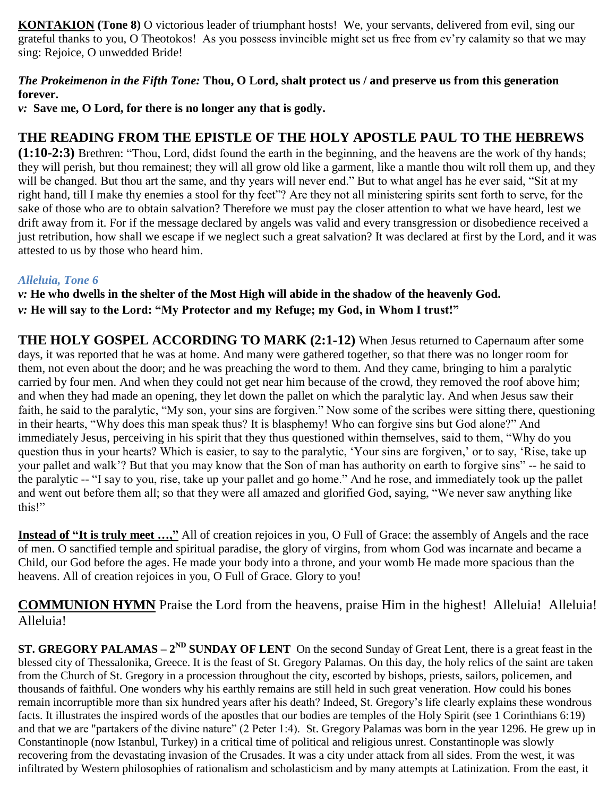**KONTAKION** (Tone 8) O victorious leader of triumphant hosts! We, your servants, delivered from evil, sing our grateful thanks to you, O Theotokos! As you possess invincible might set us free from ev'ry calamity so that we may sing: Rejoice, O unwedded Bride!

### *The Prokeimenon in the Fifth Tone:* **Thou, O Lord, shalt protect us / and preserve us from this generation forever.**

*v:* **Save me, O Lord, for there is no longer any that is godly.**

## **THE READING FROM THE EPISTLE OF THE HOLY APOSTLE PAUL TO THE HEBREWS**

**(1:10-2:3)** Brethren: "Thou, Lord, didst found the earth in the beginning, and the heavens are the work of thy hands; they will perish, but thou remainest; they will all grow old like a garment, like a mantle thou wilt roll them up, and they will be changed. But thou art the same, and thy years will never end." But to what angel has he ever said, "Sit at my right hand, till I make thy enemies a stool for thy feet"? Are they not all ministering spirits sent forth to serve, for the sake of those who are to obtain salvation? Therefore we must pay the closer attention to what we have heard, lest we drift away from it. For if the message declared by angels was valid and every transgression or disobedience received a just retribution, how shall we escape if we neglect such a great salvation? It was declared at first by the Lord, and it was attested to us by those who heard him.

### *Alleluia, Tone 6*

*v:* **He who dwells in the shelter of the Most High will abide in the shadow of the heavenly God.** *v:* **He will say to the Lord: "My Protector and my Refuge; my God, in Whom I trust!"**

**THE HOLY GOSPEL ACCORDING TO MARK (2:1-12)** When Jesus returned to Capernaum after some days, it was reported that he was at home. And many were gathered together, so that there was no longer room for them, not even about the door; and he was preaching the word to them. And they came, bringing to him a paralytic carried by four men. And when they could not get near him because of the crowd, they removed the roof above him; and when they had made an opening, they let down the pallet on which the paralytic lay. And when Jesus saw their faith, he said to the paralytic, "My son, your sins are forgiven." Now some of the scribes were sitting there, questioning in their hearts, "Why does this man speak thus? It is blasphemy! Who can forgive sins but God alone?" And immediately Jesus, perceiving in his spirit that they thus questioned within themselves, said to them, "Why do you question thus in your hearts? Which is easier, to say to the paralytic, 'Your sins are forgiven,' or to say, 'Rise, take up your pallet and walk'? But that you may know that the Son of man has authority on earth to forgive sins" -- he said to the paralytic -- "I say to you, rise, take up your pallet and go home." And he rose, and immediately took up the pallet and went out before them all; so that they were all amazed and glorified God, saying, "We never saw anything like this!"

**Instead of "It is truly meet …,"** All of creation rejoices in you, O Full of Grace: the assembly of Angels and the race of men. O sanctified temple and spiritual paradise, the glory of virgins, from whom God was incarnate and became a Child, our God before the ages. He made your body into a throne, and your womb He made more spacious than the heavens. All of creation rejoices in you, O Full of Grace. Glory to you!

**COMMUNION HYMN** Praise the Lord from the heavens, praise Him in the highest! Alleluia! Alleluia! Alleluia!

**ST. GREGORY PALAMAS –**  $2^{ND}$  **<b>SUNDAY OF LENT** On the second Sunday of Great Lent, there is a great feast in the blessed city of Thessalonika, Greece. It is the feast of St. Gregory Palamas. On this day, the holy relics of the saint are taken from the Church of St. Gregory in a procession throughout the city, escorted by bishops, priests, sailors, policemen, and thousands of faithful. One wonders why his earthly remains are still held in such great veneration. How could his bones remain incorruptible more than six hundred years after his death? Indeed, St. Gregory's life clearly explains these wondrous facts. It illustrates the inspired words of the apostles that our bodies are temples of the Holy Spirit (see 1 Corinthians 6:19) and that we are "partakers of the divine nature" (2 Peter 1:4). St. Gregory Palamas was born in the year 1296. He grew up in Constantinople (now Istanbul, Turkey) in a critical time of political and religious unrest. Constantinople was slowly recovering from the devastating invasion of the Crusades. It was a city under attack from all sides. From the west, it was infiltrated by Western philosophies of rationalism and scholasticism and by many attempts at Latinization. From the east, it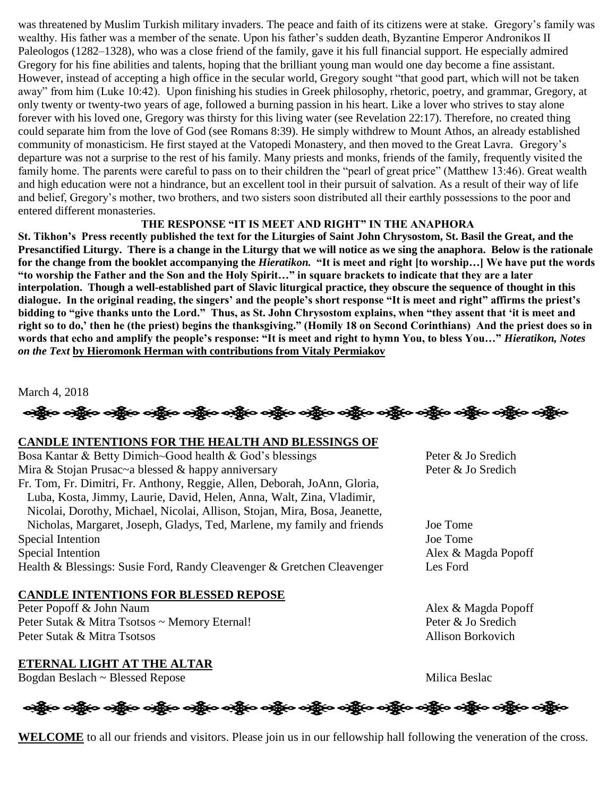was threatened by Muslim Turkish military invaders. The peace and faith of its citizens were at stake. Gregory's family was wealthy. His father was a member of the senate. Upon his father's sudden death, Byzantine Emperor Andronikos II Paleologos (1282–1328), who was a close friend of the family, gave it his full financial support. He especially admired Gregory for his fine abilities and talents, hoping that the brilliant young man would one day become a fine assistant. However, instead of accepting a high office in the secular world, Gregory sought "that good part, which will not be taken away" from him (Luke 10:42). Upon finishing his studies in Greek philosophy, rhetoric, poetry, and grammar, Gregory, at only twenty or twenty-two years of age, followed a burning passion in his heart. Like a lover who strives to stay alone forever with his loved one, Gregory was thirsty for this living water (see Revelation 22:17). Therefore, no created thing could separate him from the love of God (see Romans 8:39). He simply withdrew to Mount Athos, an already established community of monasticism. He first stayed at the Vatopedi Monastery, and then moved to the Great Lavra. Gregory's departure was not a surprise to the rest of his family. Many priests and monks, friends of the family, frequently visited the family home. The parents were careful to pass on to their children the "pearl of great price" (Matthew 13:46). Great wealth and high education were not a hindrance, but an excellent tool in their pursuit of salvation. As a result of their way of life and belief, Gregory's mother, two brothers, and two sisters soon distributed all their earthly possessions to the poor and entered different monasteries.

#### **THE RESPONSE "IT IS MEET AND RIGHT" IN THE ANAPHORA**

**St. Tikhon's Press recently published the text for the Liturgies of Saint John Chrysostom, St. Basil the Great, and the Presanctified Liturgy. There is a change in the Liturgy that we will notice as we sing the anaphora. Below is the rationale for the change from the booklet accompanying the** *Hieratikon.* **"It is meet and right [to worship…] We have put the words "to worship the Father and the Son and the Holy Spirit…" in square brackets to indicate that they are a later interpolation. Though a well-established part of Slavic liturgical practice, they obscure the sequence of thought in this dialogue. In the original reading, the singers' and the people's short response "It is meet and right" affirms the priest's bidding to "give thanks unto the Lord." Thus, as St. John Chrysostom explains, when "they assent that 'it is meet and right so to do,' then he (the priest) begins the thanksgiving." (Homily 18 on Second Corinthians) And the priest does so in words that echo and amplify the people's response: "It is meet and right to hymn You, to bless You…"** *Hieratikon, Notes on the Text* **by Hieromonk Herman with contributions from Vitaly Permiakov**

March 4, 2018

လို့်ပြီး ဝတ္ထို**ဝ ဝတ္ထိုဝ ဝတ္ထိုဝ ဝတ္ထိုဝ ဝတ္ထိုဝ ဝတ္ထိုဝ ဝတ္ထိုဝ ဝတ္ထိုဝ ဝတ္ထိုဝ ဝတ္ထိုဝ ဝတ္ထိုဝ ဝတ္ထိုင** 

#### **CANDLE INTENTIONS FOR THE HEALTH AND BLESSINGS OF**

Bosa Kantar & Betty Dimich~Good health & God's blessings Peter & Jo Sredich Mira & Stojan Prusac~a blessed & happy anniversary Peter & Jo Sredich Fr. Tom, Fr. Dimitri, Fr. Anthony, Reggie, Allen, Deborah, JoAnn, Gloria, Luba, Kosta, Jimmy, Laurie, David, Helen, Anna, Walt, Zina, Vladimir, Nicolai, Dorothy, Michael, Nicolai, Allison, Stojan, Mira, Bosa, Jeanette, Nicholas, Margaret, Joseph, Gladys, Ted, Marlene, my family and friends Joe Tome Special Intention Joe Tome Special Intention Alex & Magda Popoff Health & Blessings: Susie Ford, Randy Cleavenger & Gretchen Cleavenger Les Ford

#### **CANDLE INTENTIONS FOR BLESSED REPOSE**

Peter Popoff & John Naum Alex & Magda Popoff Peter Sutak & Mitra Tsotsos ~ Memory Eternal! Peter & Jo Sredich Peter Sutak & Mitra Tsotsos Allison Borkovich

**ETERNAL LIGHT AT THE ALTAR** Bogdan Beslach ~ Blessed Repose Milica Beslach + Milica Beslach + Milica Beslach + Milica Beslach + Milica Beslach + Milica Beslach + Milica Beslach + Milica Beslach + Milica Beslach + Milica Beslach + Milica Beslach + Mil

# ခရွို့လ ခရွို့လ ခရွို့လ ခရွို့လ ခရွို့လ ခရွို့လ ခရွို့လ ခရွို့လ ခရွို့လ ခရွို့လ ခရွို့လ ခရွို့လ ခရွို့လ ခရွို့လ

**WELCOME** to all our friends and visitors. Please join us in our fellowship hall following the veneration of the cross.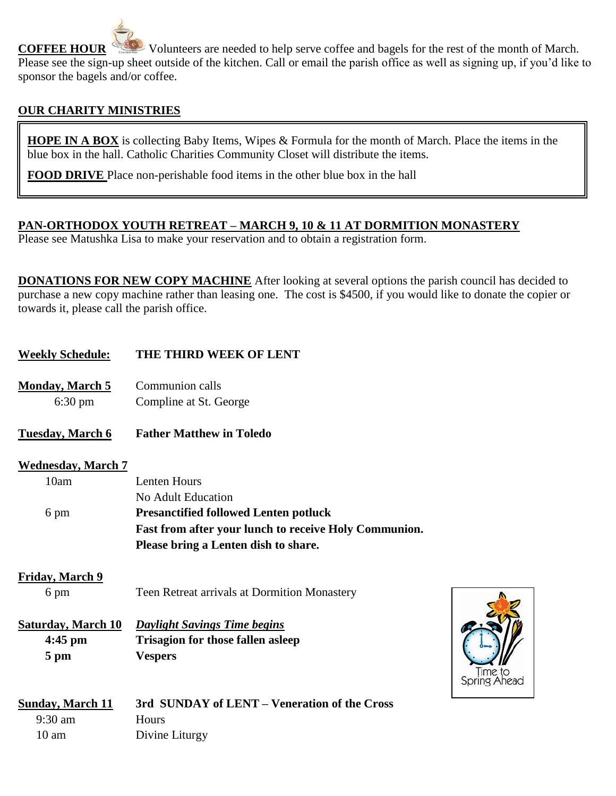**COFFEE HOUR** Volunteers are needed to help serve coffee and bagels for the rest of the month of March. Please see the sign-up sheet outside of the kitchen. Call or email the parish office as well as signing up, if you'd like to sponsor the bagels and/or coffee.

## **OUR CHARITY MINISTRIES**

**HOPE IN A BOX** is collecting Baby Items, Wipes & Formula for the month of March. Place the items in the blue box in the hall. Catholic Charities Community Closet will distribute the items.

**FOOD DRIVE** Place non-perishable food items in the other blue box in the hall

### **PAN-ORTHODOX YOUTH RETREAT – MARCH 9, 10 & 11 AT DORMITION MONASTERY**

Please see Matushka Lisa to make your reservation and to obtain a registration form.

**DONATIONS FOR NEW COPY MACHINE** After looking at several options the parish council has decided to purchase a new copy machine rather than leasing one. The cost is \$4500, if you would like to donate the copier or towards it, please call the parish office.

> Time to Spring Ahead

| <b>Weekly Schedule:</b>   | <b>THE THIRD WEEK OF LENT</b>                         |
|---------------------------|-------------------------------------------------------|
| <b>Monday, March 5</b>    | Communion calls                                       |
| $6:30 \text{ pm}$         | Compline at St. George                                |
| <b>Tuesday</b> , March 6  | <b>Father Matthew in Toledo</b>                       |
| <b>Wednesday, March 7</b> |                                                       |
| 10am                      | <b>Lenten Hours</b>                                   |
|                           | No Adult Education                                    |
| 6 pm                      | <b>Presanctified followed Lenten potluck</b>          |
|                           | Fast from after your lunch to receive Holy Communion. |
|                           | Please bring a Lenten dish to share.                  |
| <b>Friday, March 9</b>    |                                                       |
| 6 pm                      | Teen Retreat arrivals at Dormition Monastery          |
| <b>Saturday, March 10</b> | <b>Daylight Savings Time begins</b>                   |
| $4:45$ pm                 | <b>Trisagion for those fallen asleep</b>              |
| 5 pm                      | <b>Vespers</b>                                        |
| <b>Sunday, March 11</b>   | 3rd SUNDAY of LENT – Veneration of the Cross          |
| 9:30 am                   | Hours                                                 |

10 am Divine Liturgy